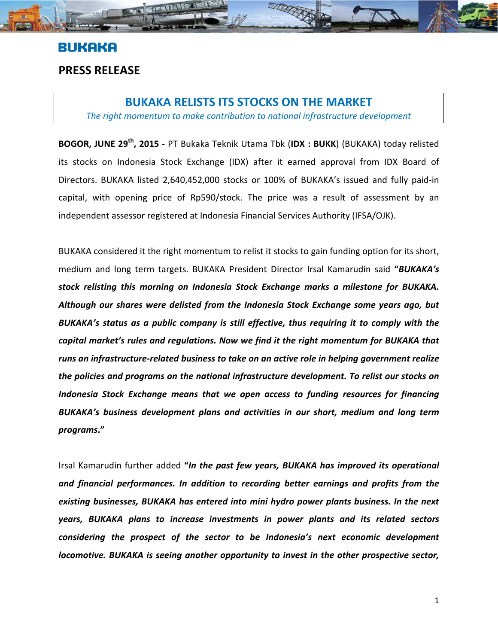## **PRESS RELEASE**

## **BUKAKA RELISTS ITS STOCKS ON THE MARKET**  *The right momentum to make contribution to national infrastructure development*

THE REAL PROPERTY

**BOGOR, JUNE 29th, 2015** - PT Bukaka Teknik Utama Tbk (**IDX : BUKK**) (BUKAKA) today relisted its stocks on Indonesia Stock Exchange (IDX) after it earned approval from IDX Board of Directors. BUKAKA listed 2,640,452,000 stocks or 100% of BUKAKA's issued and fully paid-in capital, with opening price of Rp590/stock. The price was a result of assessment by an independent assessor registered at Indonesia Financial Services Authority (IFSA/OJK).

BUKAKA considered it the right momentum to relist it stocks to gain funding option for its short, medium and long term targets. BUKAKA President Director Irsal Kamarudin said **"***BUKAKA's stock relisting this morning on Indonesia Stock Exchange marks a milestone for BUKAKA. Although our shares were delisted from the Indonesia Stock Exchange some years ago, but BUKAKA's status as a public company is still effective, thus requiring it to comply with the capital market's rules and regulations. Now we find it the right momentum for BUKAKA that runs an infrastructure-related business to take on an active role in helping government realize the policies and programs on the national infrastructure development. To relist our stocks on Indonesia Stock Exchange means that we open access to funding resources for financing BUKAKA's business development plans and activities in our short, medium and long term programs***."**

Irsal Kamarudin further added **"***In the past few years, BUKAKA has improved its operational and financial performances. In addition to recording better earnings and profits from the existing businesses, BUKAKA has entered into mini hydro power plants business. In the next years, BUKAKA plans to increase investments in power plants and its related sectors considering the prospect of the sector to be Indonesia's next economic development locomotive. BUKAKA is seeing another opportunity to invest in the other prospective sector,*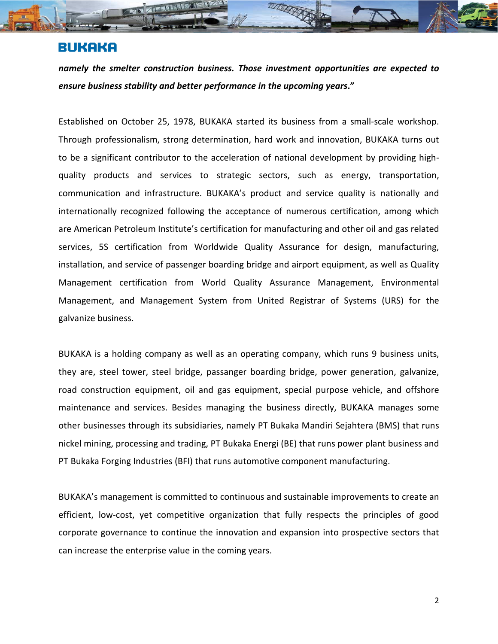*namely the smelter construction business. Those investment opportunities are expected to ensure business stability and better performance in the upcoming years***."**

THE REAL PROPERTY

Established on October 25, 1978, BUKAKA started its business from a small-scale workshop. Through professionalism, strong determination, hard work and innovation, BUKAKA turns out to be a significant contributor to the acceleration of national development by providing highquality products and services to strategic sectors, such as energy, transportation, communication and infrastructure. BUKAKA's product and service quality is nationally and internationally recognized following the acceptance of numerous certification, among which are American Petroleum Institute's certification for manufacturing and other oil and gas related services, 5S certification from Worldwide Quality Assurance for design, manufacturing, installation, and service of passenger boarding bridge and airport equipment, as well as Quality Management certification from World Quality Assurance Management, Environmental Management, and Management System from United Registrar of Systems (URS) for the galvanize business.

BUKAKA is a holding company as well as an operating company, which runs 9 business units, they are, steel tower, steel bridge, passanger boarding bridge, power generation, galvanize, road construction equipment, oil and gas equipment, special purpose vehicle, and offshore maintenance and services. Besides managing the business directly, BUKAKA manages some other businesses through its subsidiaries, namely PT Bukaka Mandiri Sejahtera (BMS) that runs nickel mining, processing and trading, PT Bukaka Energi (BE) that runs power plant business and PT Bukaka Forging Industries (BFI) that runs automotive component manufacturing.

BUKAKA's management is committed to continuous and sustainable improvements to create an efficient, low-cost, yet competitive organization that fully respects the principles of good corporate governance to continue the innovation and expansion into prospective sectors that can increase the enterprise value in the coming years.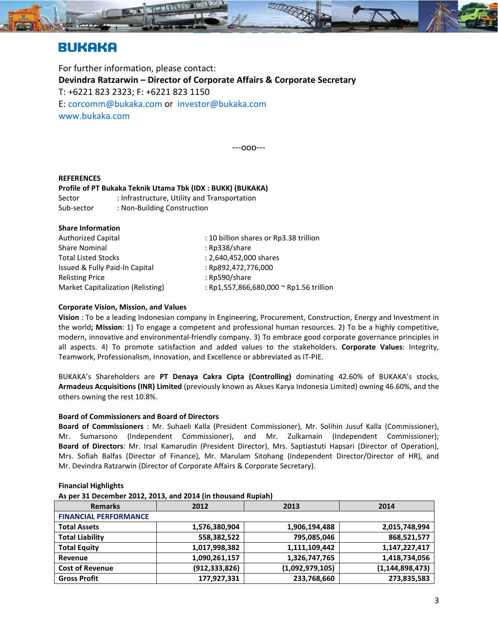For further information, please contact: **Devindra Ratzarwin – Director of Corporate Affairs & Corporate Secretary**  T: +6221 823 2323; F: +6221 823 1150 E: corcomm@bukaka.com or investor@bukaka.com www.bukaka.com

---ooo---

#### **REFERENCES**

**Profile of PT Bukaka Teknik Utama Tbk (IDX : BUKK) (BUKAKA)**  Sector : Infrastructure, Utility and Transportation Sub-sector : Non-Building Construction

| <b>Share Information</b>          |                                         |
|-----------------------------------|-----------------------------------------|
| <b>Authorized Capital</b>         | : 10 billion shares or Rp3.38 trillion  |
| Share Nominal                     | : Rp338/share                           |
| <b>Total Listed Stocks</b>        | : 2,640,452,000 shares                  |
| Issued & Fully Paid-In Capital    | : Rp892,472,776,000                     |
| <b>Relisting Price</b>            | : Rp590/share                           |
| Market Capitalization (Relisting) | : Rp1,557,866,680,000 ~ Rp1.56 trillion |

#### **Corporate Vision, Mission, and Values**

**Vision** : To be a leading Indonesian company in Engineering, Procurement, Construction, Energy and Investment in the world**; Mission**: 1) To engage a competent and professional human resources. 2) To be a highly competitive, modern, innovative and environmental-friendly company. 3) To embrace good corporate governance principles in all aspects. 4) To promote satisfaction and added values to the stakeholders. **Corporate Values**: Integrity, Teamwork, Professionalism, Innovation, and Excellence or abbreviated as IT-PIE.

BUKAKA's Shareholders are **PT Denaya Cakra Cipta (Controlling)** dominating 42.60% of BUKAKA's stocks, **Armadeus Acquisitions (INR) Limited** (previously known as Akses Karya Indonesia Limited) owning 46.60%, and the others owning the rest 10.8%.

#### **Board of Commissioners and Board of Directors**

**Board of Commissioners** : Mr. Suhaeli Kalla (President Commissioner), Mr. Solihin Jusuf Kalla (Commissioner), Mr. Sumarsono (Independent Commissioner), and Mr. Zulkarnain (Independent Commissioner); **Board of Directors**: Mr. Irsal Kamarudin (President Director), Mrs. Saptiastuti Hapsari (Director of Operation), Mrs. Sofiah Balfas (Director of Finance), Mr. Marulam Sitohang (Independent Director/Director of HR), and Mr. Devindra Ratzarwin (Director of Corporate Affairs & Corporate Secretary).

| As per 31 December 2012, 2013, and 2014 (in thousand Ruplan) |               |                 |                    |  |  |
|--------------------------------------------------------------|---------------|-----------------|--------------------|--|--|
| <b>Remarks</b>                                               | 2012          | 2013            | 2014               |  |  |
| <b>FINANCIAL PERFORMANCE</b>                                 |               |                 |                    |  |  |
| <b>Total Assets</b>                                          | 1,576,380,904 | 1,906,194,488   | 2,015,748,994      |  |  |
| <b>Total Liability</b>                                       | 558,382,522   | 795,085,046     | 868,521,577        |  |  |
| <b>Total Equity</b>                                          | 1,017,998,382 | 1,111,109,442   | 1,147,227,417      |  |  |
| Revenue                                                      | 1,090,261,157 | 1,326,747,765   | 1,418,734,056      |  |  |
| <b>Cost of Revenue</b>                                       | (912,333,826) | (1,092,979,105) | (1, 144, 898, 473) |  |  |
| <b>Gross Profit</b>                                          | 177,927,331   | 233,768,660     | 273,835,583        |  |  |

### **Financial Highlights**

**As per 31 December 2012, 2013, and 2014 (in thousand Rupiah)**